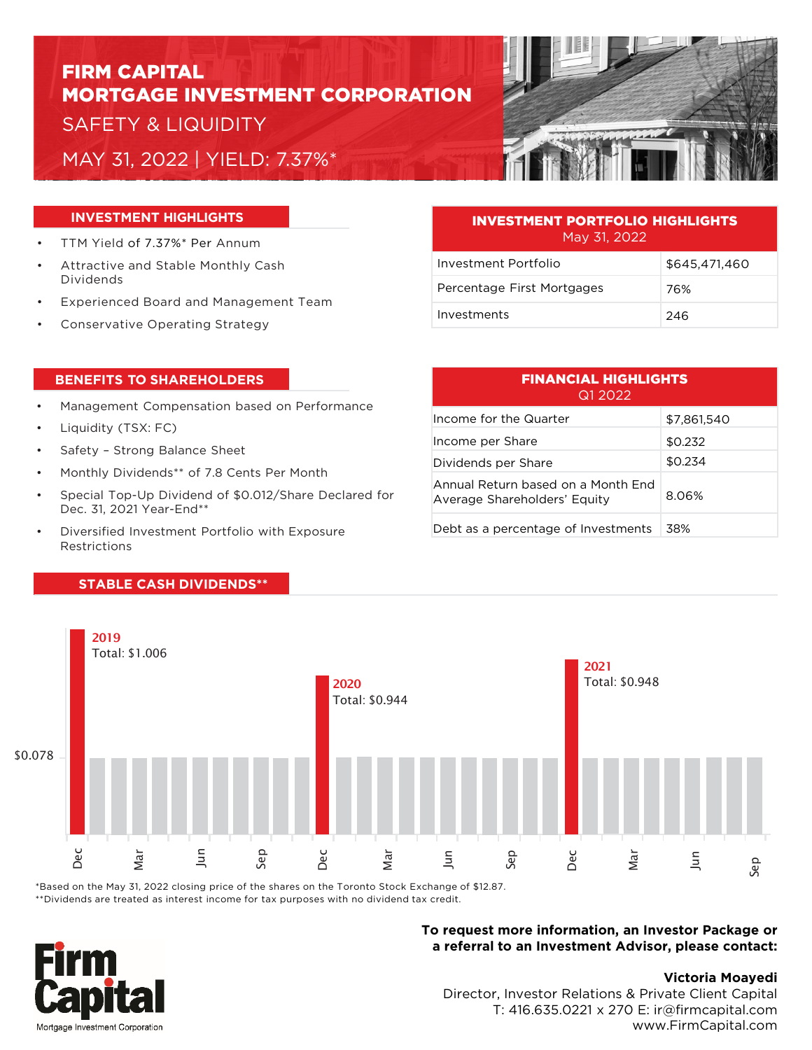# FIRM CAPITAL MORTGAGE INVESTMENT CORPORATION SAFETY & LIQUIDITY

MAY 31, 2022 | YIELD: 7.37%\*



## **INVESTMENT HIGHLIGHTS**

- TTM Yield of 7.37%\* Per Annum
- Attractive and Stable Monthly Cash Dividends
- Experienced Board and Management Team
- Conservative Operating Strategy

## INVESTMENT PORTFOLIO HIGHLIGHTS May 31, 2022

| Investment Portfolio       | \$645,471,460 |
|----------------------------|---------------|
| Percentage First Mortgages | 76%           |
| Investments                | 246           |

#### **BENEFITS TO SHAREHOLDERS**

- Management Compensation based on Performance
- Liquidity (TSX: FC)
- Safety Strong Balance Sheet
- Monthly Dividends\*\* of 7.8 Cents Per Month
- Special Top-Up Dividend of \$0.012/Share Declared for Dec. 31, 2021 Year-End\*\*
- Diversified Investment Portfolio with Exposure Restrictions

## **STABLE CASH DIVIDENDS\*\***

| <b>FINANCIAL HIGHLIGHTS</b><br>Q1 2022                             |             |
|--------------------------------------------------------------------|-------------|
| Income for the Quarter                                             | \$7,861,540 |
| Income per Share                                                   | \$0.232     |
| Dividends per Share                                                | \$0.234     |
| Annual Return based on a Month Fnd<br>Average Shareholders' Equity | 8.06%       |
| Debt as a percentage of Investments                                | 38%         |



\*Based on the May 31, 2022 closing price of the shares on the Toronto Stock Exchange of \$12.87. \*\*Dividends are treated as interest income for tax purposes with no dividend tax credit.



# **To request more information, an Investor Package or a referral to an Investment Advisor, please contact:**

### **Victoria Moayedi**

Director, Investor Relations & Private Client Capital T: 416.635.0221 x 270 E: ir@firmcapital.com www.FirmCapital.com